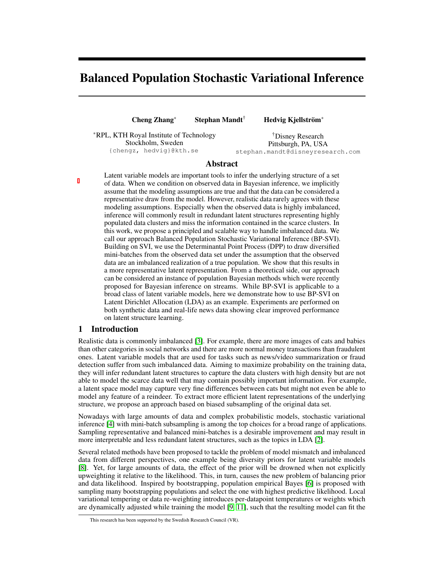# Balanced Population Stochastic Variational Inference

Cheng Zhang<sup>∗</sup> Stephan Mandt† Hedvig Kjellström<sup>∗</sup>

<sup>∗</sup>RPL, KTH Royal Institute of Technology Stockholm, Sweden {chengz, hedvig}@kth.se

†Disney Research Pittsburgh, PA, USA stephan.mandt@disneyresearch.com

## Abstract

Latent variable models are important tools to infer the underlying structure of a set of data. When we condition on observed data in Bayesian inference, we implicitly assume that the modeling assumptions are true and that the data can be considered a representative draw from the model. However, realistic data rarely agrees with these modeling assumptions. Especially when the observed data is highly imbalanced, inference will commonly result in redundant latent structures representing highly populated data clusters and miss the information contained in the scarce clusters. In this work, we propose a principled and scalable way to handle imbalanced data. We call our approach Balanced Population Stochastic Variational Inference (BP-SVI). Building on SVI, we use the Determinantal Point Process (DPP) to draw diversified mini-batches from the observed data set under the assumption that the observed data are an imbalanced realization of a true population. We show that this results in a more representative latent representation. From a theoretical side, our approach can be considered an instance of population Bayesian methods which were recently proposed for Bayesian inference on streams. While BP-SVI is applicable to a broad class of latent variable models, here we demonstrate how to use BP-SVI on Latent Dirichlet Allocation (LDA) as an example. Experiments are performed on both synthetic data and real-life news data showing clear improved performance on latent structure learning.

## 1 Introduction

Realistic data is commonly imbalanced [\[3\]](#page-4-0). For example, there are more images of cats and babies than other categories in social networks and there are more normal money transactions than fraudulent ones. Latent variable models that are used for tasks such as news/video summarization or fraud detection suffer from such imbalanced data. Aiming to maximize probability on the training data, they will infer redundant latent structures to capture the data clusters with high density but are not able to model the scarce data well that may contain possibly important information. For example, a latent space model may capture very fine differences between cats but might not even be able to model any feature of a reindeer. To extract more efficient latent representations of the underlying structure, we propose an approach based on biased subsampling of the original data set.

Nowadays with large amounts of data and complex probabilistic models, stochastic variational inference [\[4\]](#page-4-1) with mini-batch subsampling is among the top choices for a broad range of applications. Sampling representative and balanced mini-batches is a desirable improvement and may result in more interpretable and less redundant latent structures, such as the topics in LDA [\[2\]](#page-4-2).

Several related methods have been proposed to tackle the problem of model mismatch and imbalanced data from different perspectives, one example being diversity priors for latent variable models [\[8\]](#page-4-3). Yet, for large amounts of data, the effect of the prior will be drowned when not explicitly upweighting it relative to the likelihood. This, in turn, causes the new problem of balancing prior and data likelihood. Inspired by bootstrapping, population empirical Bayes [\[6\]](#page-4-4) is proposed with sampling many bootstrapping populations and select the one with highest predictive likelihood. Local variational tempering or data re-weighting introduces per-datapoint temperatures or weights which are dynamically adjusted while training the model [\[9,](#page-4-5) [11\]](#page-4-6), such that the resulting model can fit the

This research has been supported by the Swedish Research Council (VR).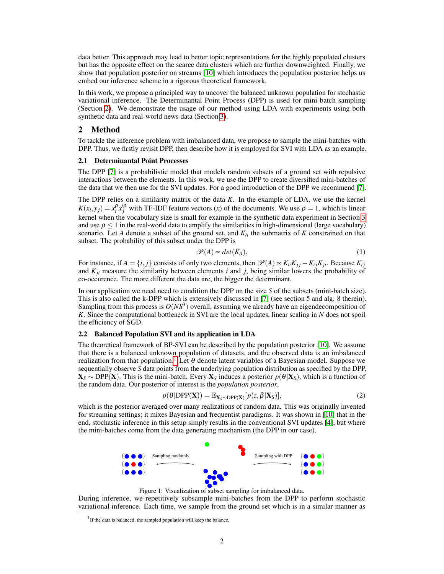data better. This approach may lead to better topic representations for the highly populated clusters but has the opposite effect on the scarce data clusters which are further downweighted. Finally, we show that population posterior on streams [\[10\]](#page-4-7) which introduces the population posterior helps us embed our inference scheme in a rigorous theoretical framework.

In this work, we propose a principled way to uncover the balanced unknown population for stochastic variational inference. The Determinantal Point Process (DPP) is used for mini-batch sampling (Section [2\)](#page-1-0). We demonstrate the usage of our method using LDA with experiments using both synthetic data and real-world news data (Section [3\)](#page-2-0).

#### <span id="page-1-0"></span>2 Method

To tackle the inference problem with imbalanced data, we propose to sample the mini-batches with DPP. Thus, we firstly revisit DPP, then describe how it is employed for SVI with LDA as an example.

#### 2.1 Determinantal Point Processes

The DPP [\[7\]](#page-4-8) is a probabilistic model that models random subsets of a ground set with repulsive interactions between the elements. In this work, we use the DPP to create diversified mini-batches of the data that we then use for the SVI updates. For a good introduction of the DPP we recommend [\[7\]](#page-4-8).

The DPP relies on a similarity matrix of the data *K*. In the example of LDA, we use the kernel  $K(x_i, y_j) = x_i^{\rho} x_j^{\rho}$  with TF-IDF feature vectors (*x*) of the documents. We use  $\rho = 1$ , which is linear kernel when the vocabulary size is small for example in the synthetic data experiment in Section [3](#page-2-0) and use  $\rho \leq 1$  in the real-world data to amplify the similarities in high-dimensional (large vocabulary) scenario. Let *A* denote a subset of the ground set, and *K<sup>A</sup>* the submatrix of *K* constrained on that subset. The probability of this subset under the DPP is

$$
\mathscr{P}(A) \sim det(K_A),\tag{1}
$$

For instance, if  $A = \{i, j\}$  consists of only two elements, then  $\mathscr{P}(A) \propto K_{ii}K_{jj} - K_{ij}K_{ji}$ . Because  $K_{ij}$ and  $K_{ji}$  measure the similarity between elements *i* and *j*, being similar lowers the probability of co-occurence. The more different the data are, the bigger the determinant.

In our application we need need to condition the DPP on the size *S* of the subsets (mini-batch size). This is also called the k-DPP which is extensively discussed in [\[7\]](#page-4-8) (see section 5 and alg. 8 therein). Sampling from this process is  $O(NS^3)$  overall, assuming we already have an eigendecomposition of *K*. Since the computational bottleneck in SVI are the local updates, linear scaling in *N* does not spoil the efficiency of SGD.

#### 2.2 Balanced Population SVI and its application in LDA

The theoretical framework of BP-SVI can be described by the population posterior [\[10\]](#page-4-7). We assume that there is a balanced unknown population of datasets, and the observed data is an imbalanced realization from that population.<sup>[1](#page-1-1)</sup> Let  $\theta$  denote latent variables of a Bayesian model. Suppose we sequentially observe *S* data points from the underlying population distribution as specified by the DPP,  $\mathbf{X}_S$  ∼ DPP(**X**). This is the mini-batch. Every  $\mathbf{X}_S$  induces a posterior  $p(\theta|\mathbf{X}_S)$ , which is a function of the random data. Our posterior of interest is the *population posterior*,

$$
p(\theta | DPP(\mathbf{X})) = \mathbb{E}_{\mathbf{X}_S \sim DPP(\mathbf{X})} [p(z, \beta | \mathbf{X}_S)],
$$
\n(2)

<span id="page-1-2"></span>which is the posterior averaged over many realizations of random data. This was originally invented for streaming settings; it mixes Bayesian and frequentist paradigms. It was shown in [\[10\]](#page-4-7) that in the end, stochastic inference in this setup simply results in the conventional SVI updates [\[4\]](#page-4-1), but where the mini-batches come from the data generating mechanism (the DPP in our case).



Figure 1: Visualization of subset sampling for imbalanced data.

During inference, we repetitively subsample mini-batches from the DPP to perform stochastic variational inference. Each time, we sample from the ground set which is in a similar manner as

<span id="page-1-1"></span><sup>&</sup>lt;sup>1</sup> If the data is balanced, the sampled population will keep the balance.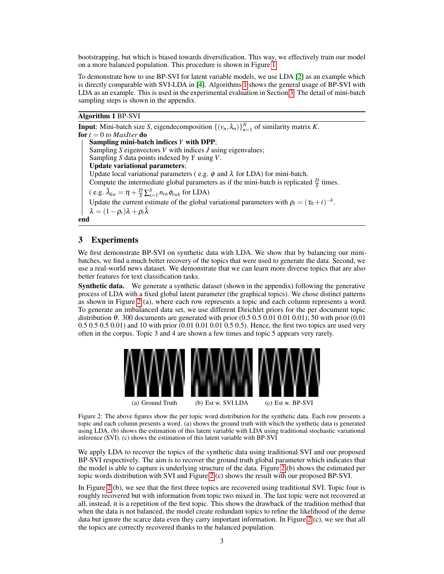bootstrapping, but which is biased towards diversification. This way, we effectively train our model on a more balanced population. This procedure is shown in Figure [1.](#page-1-2)

To demonstrate how to use BP-SVI for latent variable models, we use LDA [\[2\]](#page-4-2) as an example which is directly comparable with SVI-LDA in [\[4\]](#page-4-1). Algorithms [1](#page-2-1) shows the general usage of BP-SVI with LDA as an example. This is used in the experimental evaluation in Section [3.](#page-2-0) The detail of mini-batch sampling steps is shown in the appendix.

## <span id="page-2-1"></span>Algorithm 1 BP-SVI

**Input:** Mini-batch size *S*, eigendecomposition  $\{(v_n, \lambda_n)\}_{n=1}^N$  of similarity matrix *K*. for  $t = 0$  *to MaxIter* **do** Sampling mini-batch indices *Y* with DPP; Sampling *S* eigenvectors *V* with indices *J* using eigenvalues; Sampling *S* data points indexed by *Y* using *V*. Update variational parameters; Update local variational parameters (e.g.  $\phi$  and  $\lambda$  for LDA) for mini-batch. Compute the intermediate global parameters as if the mini-batch is replicated  $\frac{D}{S}$  times. ( e.g.  $\tilde{\lambda}_{kw} = \eta + \frac{D}{S} \sum_{s=1}^{S} n_{tw} \phi_{twk}$  for LDA) Update the current estimate of the global variational parameters with  $\rho_t = (\tau_0 + t)^{-k}$ .  $\lambda = (1 - \rho_t)\lambda + \rho_t \tilde{\lambda}$ end

#### <span id="page-2-0"></span>3 Experiments

We first demonstrate BP-SVI on synthetic data with LDA. We show that by balancing our minibatches, we find a much better recovery of the topics that were used to generate the data. Second, we use a real-world news dataset. We demonstrate that we can learn more diverse topics that are also better features for text classification tasks.

Synthetic data. We generate a synthetic dataset (shown in the appendix) following the generative process of LDA with a fixed global latent parameter (the graphical topics). We chose distinct patterns as shown in Figure [2](#page-2-2) (a), where each row represents a topic and each column represents a word. To generate an imbalanced data set, we use different Dirichlet priors for the per document topic distribution  $\theta$ . 300 documents are generated with prior (0.5 0.5 0.01 0.01 0.01); 50 with prior (0.01) 0.5 0.5 0.5 0.01) and 10 with prior (0.01 0.01 0.01 0.5 0.5). Hence, the first two topics are used very often in the corpus. Topic 3 and 4 are shown a few times and topic 5 appears very rarely.

<span id="page-2-2"></span>

(a) Ground Truth (b) Est w. SVI LDA (c) Est w. BP-SVI

Figure 2: The above figures show the per topic word distribution for the synthetic data. Each row presents a topic and each column presents a word. (a) shows the ground truth with which the synthetic data is generated using LDA. (b) shows the estimation of this latent variable with LDA using traditional stochastic variational inference (SVI). (c) shows the estimation of this latent variable with BP-SVI

We apply LDA to recover the topics of the synthetic data using traditional SVI and our proposed BP-SVI respectively. The aim is to recover the ground truth global parameter which indicates that the model is able to capture is underlying structure of the data. Figure [2](#page-2-2) (b) shows the estimated per topic words distribution with SVI and Figure [2](#page-2-2) (c) shows the result with our proposed BP-SVI.

In Figure [2](#page-2-2) (b), we see that the first three topics are recovered using traditional SVI. Topic four is roughly recovered but with information from topic two mixed in. The last topic were not recovered at all, instead, it is a repetition of the first topic. This shows the drawback of the tradition method that when the data is not balanced, the model create redundant topics to refine the likelihood of the dense data but ignore the scarce data even they carry important information. In Figure [2](#page-2-2) (c), we see that all the topics are correctly recovered thanks to the balanced population.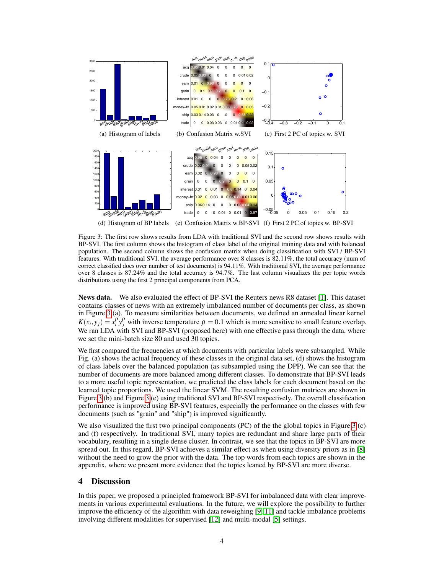<span id="page-3-0"></span>

Figure 3: The first row shows results from LDA with traditional SVI and the second row shows results with BP-SVI. The first column shows the histogram of class label of the original training data and with balanced population. The second column shows the confusion matrix when doing classification with SVI / BP-SVI features. With traditional SVI, the average performance over 8 classes is 82.11%, the total accuracy (num of correct classified docs over number of test documents) is 94.11%. With traditional SVI, the average performance over 8 classes is 87.24% and the total accuracy is 94.7%. The last column visualizes the per topic words distributions using the first 2 principal components from PCA.

News data. We also evaluated the effect of BP-SVI the Reuters news R8 dataset [\[1\]](#page-4-9). This dataset contains classes of news with an extremely imbalanced number of documents per class, as shown in Figure [3](#page-3-0) (a). To measure similarities between documents, we defined an annealed linear kernel  $K(x_i, y_j) = x_i^{\rho} y_j^{\rho}$  with inverse temperature  $\rho = 0.1$  which is more sensitive to small feature overlap. We ran LDA with SVI and BP-SVI (proposed here) with one effective pass through the data, where we set the mini-batch size 80 and used 30 topics.

We first compared the frequencies at which documents with particular labels were subsampled. While Fig. (a) shows the actual frequency of these classes in the original data set, (d) shows the histogram of class labels over the balanced population (as subsampled using the DPP). We can see that the number of documents are more balanced among different classes. To demonstrate that BP-SVI leads to a more useful topic representation, we predicted the class labels for each document based on the learned topic proportions. We used the linear SVM. The resulting confusion matrices are shown in Figure [3](#page-3-0) (b) and Figure [3](#page-3-0) (e) using traditional SVI and BP-SVI respectively. The overall classification performance is improved using BP-SVI features, especially the performance on the classes with few documents (such as "grain" and "ship") is improved significantly.

We also visualized the first two principal components (PC) of the the global topics in Figure [3](#page-3-0) (c) and (f) respectively. In traditional SVI, many topics are redundant and share large parts of their vocabulary, resulting in a single dense cluster. In contrast, we see that the topics in BP-SVI are more spread out. In this regard, BP-SVI achieves a similar effect as when using diversity priors as in [\[8\]](#page-4-3) without the need to grow the prior with the data. The top words from each topics are shown in the appendix, where we present more evidence that the topics leaned by BP-SVI are more diverse.

#### 4 Discussion

In this paper, we proposed a principled framework BP-SVI for imbalanced data with clear improvements in various experimental evaluations. In the future, we will explore the possibility to further improve the efficiency of the algorithm with data reweighing [\[9,](#page-4-5) [11\]](#page-4-6) and tackle imbalance problems involving different modalities for supervised [\[12\]](#page-4-10) and multi-modal [\[5\]](#page-4-11) settings.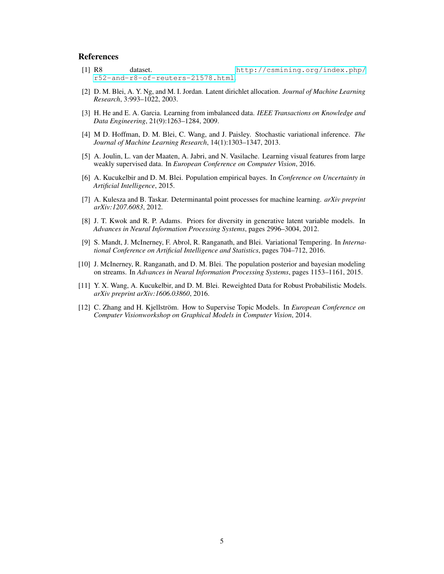## References

- <span id="page-4-9"></span>[1] R8 dataset. [http://csmining.org/index.php/](http://csmining.org/index.php/r52-and-r8-of-reuters-21578.html) [r52-and-r8-of-reuters-21578.html](http://csmining.org/index.php/r52-and-r8-of-reuters-21578.html).
- <span id="page-4-2"></span>[2] D. M. Blei, A. Y. Ng, and M. I. Jordan. Latent dirichlet allocation. *Journal of Machine Learning Research*, 3:993–1022, 2003.
- <span id="page-4-0"></span>[3] H. He and E. A. Garcia. Learning from imbalanced data. *IEEE Transactions on Knowledge and Data Engineering*, 21(9):1263–1284, 2009.
- <span id="page-4-1"></span>[4] M D. Hoffman, D. M. Blei, C. Wang, and J. Paisley. Stochastic variational inference. *The Journal of Machine Learning Research*, 14(1):1303–1347, 2013.
- <span id="page-4-11"></span>[5] A. Joulin, L. van der Maaten, A. Jabri, and N. Vasilache. Learning visual features from large weakly supervised data. In *European Conference on Computer Vision*, 2016.
- <span id="page-4-4"></span>[6] A. Kucukelbir and D. M. Blei. Population empirical bayes. In *Conference on Uncertainty in Artificial Intelligence*, 2015.
- <span id="page-4-8"></span>[7] A. Kulesza and B. Taskar. Determinantal point processes for machine learning. *arXiv preprint arXiv:1207.6083*, 2012.
- <span id="page-4-3"></span>[8] J. T. Kwok and R. P. Adams. Priors for diversity in generative latent variable models. In *Advances in Neural Information Processing Systems*, pages 2996–3004, 2012.
- <span id="page-4-5"></span>[9] S. Mandt, J. McInerney, F. Abrol, R. Ranganath, and Blei. Variational Tempering. In *International Conference on Artificial Intelligence and Statistics*, pages 704–712, 2016.
- <span id="page-4-7"></span>[10] J. McInerney, R. Ranganath, and D. M. Blei. The population posterior and bayesian modeling on streams. In *Advances in Neural Information Processing Systems*, pages 1153–1161, 2015.
- <span id="page-4-6"></span>[11] Y. X. Wang, A. Kucukelbir, and D. M. Blei. Reweighted Data for Robust Probabilistic Models. *arXiv preprint arXiv:1606.03860*, 2016.
- <span id="page-4-10"></span>[12] C. Zhang and H. Kjellström. How to Supervise Topic Models. In *European Conference on Computer Visionworkshop on Graphical Models in Computer Vision*, 2014.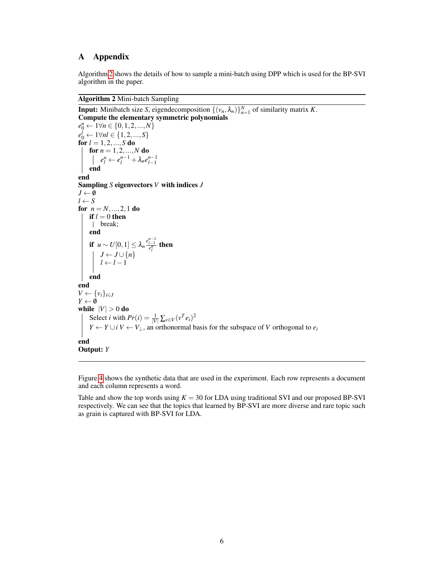## A Appendix

Algorithm [2](#page-5-0) shows the details of how to sample a mini-batch using DPP which is used for the BP-SVI algorithm in the paper.

#### <span id="page-5-0"></span>Algorithm 2 Mini-batch Sampling

**Input:** Minibatch size *S*, eigendecomposition  $\{(v_n, \lambda_n)\}_{n=1}^N$  of similarity matrix *K*. Compute the elementary symmetric polynomials  $e_0^n \leftarrow 1 \forall n \in \{0, 1, 2, ..., N\}$  $e_0^l \leftarrow 1 \forall nl \in \{1, 2, ..., S\}$ for *l* = 1,2,...,*S* do for  $n = 1, 2, ..., N$  do  $e_l^n \leftarrow e_l^{n-1} + \lambda_n e_{l-1}^{n-1}$ end end Sampling *S* eigenvectors *V* with indices *J*  $J \leftarrow \emptyset$  $l \leftarrow S$ for  $n = N, ..., 2, 1$  do if  $l = 0$  then break; end **if**  $u \sim U[0,1]$  ≤  $\lambda_n \frac{e_{l-1}^{n-1}}{e_l^n}$  **then**  $J \leftarrow J \cup \{n\}$  $l \leftarrow l - 1$ end end  $V \leftarrow \{v_i\}_{i \in J}$  $Y \leftarrow \emptyset$ while  $|V| > 0$  do Select *i* with  $Pr(i) = \frac{1}{|V|} \sum_{v \in V} (v^T e_i)^2$ *Y* ← *Y* ∪ *i V* ← *V*<sub>⊥</sub>, an orthonormal basis for the subspace of *V* orthogonal to  $e_i$ end Output: *Y*

Figure [4](#page-6-0) shows the synthetic data that are used in the experiment. Each row represents a document and each column represents a word.

Table and show the top words using  $K = 30$  for LDA using traditional SVI and our proposed BP-SVI respectively. We can see that the topics that learned by BP-SVI are more diverse and rare topic such as grain is captured with BP-SVI for LDA.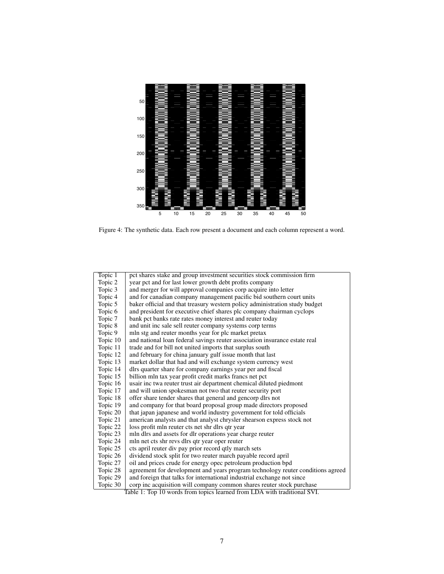<span id="page-6-0"></span>

Figure 4: The synthetic data. Each row present a document and each column represent a word.

| Topic 1                                                                  | pct shares stake and group investment securities stock commission firm          |  |
|--------------------------------------------------------------------------|---------------------------------------------------------------------------------|--|
| Topic 2                                                                  | year pct and for last lower growth debt profits company                         |  |
| Topic 3                                                                  | and merger for will approval companies corp acquire into letter                 |  |
| Topic 4                                                                  | and for canadian company management pacific bid southern court units            |  |
| Topic 5                                                                  | baker official and that treasury western policy administration study budget     |  |
| Topic 6                                                                  | and president for executive chief shares plc company chairman cyclops           |  |
| Topic 7                                                                  | bank pct banks rate rates money interest and reuter today                       |  |
| Topic 8                                                                  | and unit inc sale sell reuter company systems corp terms                        |  |
| Topic 9                                                                  | mln stg and reuter months year for plc market pretax                            |  |
| Topic 10                                                                 | and national loan federal savings reuter association insurance estate real      |  |
| Topic 11                                                                 | trade and for bill not united imports that surplus south                        |  |
| Topic 12                                                                 | and february for china january gulf issue month that last                       |  |
| Topic 13                                                                 | market dollar that had and will exchange system currency west                   |  |
| Topic 14                                                                 | dlrs quarter share for company earnings year per and fiscal                     |  |
| Topic 15                                                                 | billion mln tax year profit credit marks francs net pct                         |  |
| Topic 16                                                                 | usair inc twa reuter trust air department chemical diluted piedmont             |  |
| Topic 17                                                                 | and will union spokesman not two that reuter security port                      |  |
| Topic 18                                                                 | offer share tender shares that general and gencorp dlrs not                     |  |
| Topic 19                                                                 | and company for that board proposal group made directors proposed               |  |
| Topic 20                                                                 | that japan japanese and world industry government for told officials            |  |
| Topic 21                                                                 | american analysts and that analyst chrysler shearson express stock not          |  |
| Topic 22                                                                 | loss profit mln reuter cts net shr dlrs qtr year                                |  |
| Topic 23                                                                 | mln dlrs and assets for dlr operations year charge reuter                       |  |
| Topic 24                                                                 | mln net cts shr revs dlrs qtr year oper reuter                                  |  |
| Topic 25                                                                 | cts april reuter div pay prior record qtly march sets                           |  |
| Topic 26                                                                 | dividend stock split for two reuter march payable record april                  |  |
| Topic 27                                                                 | oil and prices crude for energy opec petroleum production bpd                   |  |
| Topic 28                                                                 | agreement for development and years program technology reuter conditions agreed |  |
| Topic 29                                                                 | and foreign that talks for international industrial exchange not since          |  |
| Topic 30                                                                 | corp inc acquisition will company common shares reuter stock purchase           |  |
| Table 1: Top 10 words from topics learned from LDA with traditional SVI. |                                                                                 |  |

7